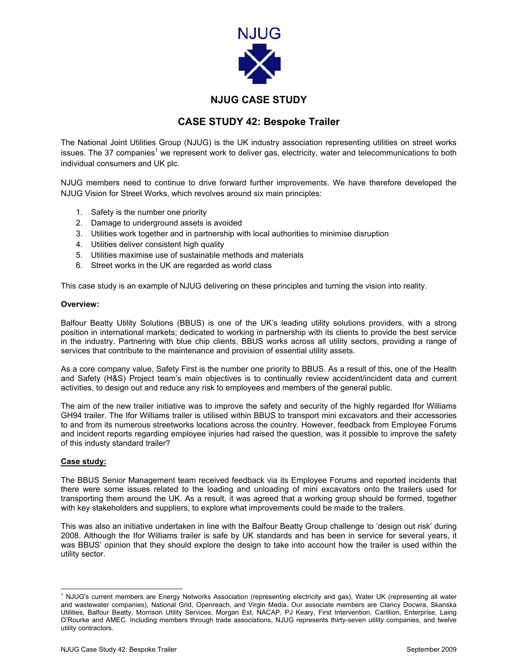

## **NJUG CASE STUDY**

## **CASE STUDY 42: Bespoke Trailer**

The National Joint Utilities Group (NJUG) is the UK industry association representing utilities on street works issues. The 37 companies<sup>[1](#page-0-0)</sup> we represent work to deliver gas, electricity, water and telecommunications to both individual consumers and UK plc.

NJUG members need to continue to drive forward further improvements. We have therefore developed the NJUG Vision for Street Works, which revolves around six main principles:

- 1. Safety is the number one priority
- 2. Damage to underground assets is avoided
- 3. Utilities work together and in partnership with local authorities to minimise disruption
- 4. Utilities deliver consistent high quality
- 5. Utilities maximise use of sustainable methods and materials
- 6. Street works in the UK are regarded as world class

This case study is an example of NJUG delivering on these principles and turning the vision into reality.

### **Overview:**

Balfour Beatty Utility Solutions (BBUS) is one of the UK's leading utility solutions providers, with a strong position in international markets; dedicated to working in partnership with its clients to provide the best service in the industry. Partnering with blue chip clients, BBUS works across all utility sectors, providing a range of services that contribute to the maintenance and provision of essential utility assets.

As a core company value, Safety First is the number one priority to BBUS. As a result of this, one of the Health and Safety (H&S) Project team's main objectives is to continually review accident/incident data and current activities, to design out and reduce any risk to employees and members of the general public.

The aim of the new trailer initiative was to improve the safety and security of the highly regarded Ifor Williams GH94 trailer. The Ifor Williams trailer is utilised within BBUS to transport mini excavators and their accessories to and from its numerous streetworks locations across the country. However, feedback from Employee Forums and incident reports regarding employee injuries had raised the question, was it possible to improve the safety of this industy standard trailer?

#### **Case study:**

The BBUS Senior Management team received feedback via its Employee Forums and reported incidents that there were some issues related to the loading and unloading of mini excavators onto the trailers used for transporting them around the UK. As a result, it was agreed that a working group should be formed, together with key stakeholders and suppliers, to explore what improvements could be made to the trailers.

This was also an initiative undertaken in line with the Balfour Beatty Group challenge to 'design out risk' during 2008. Although the Ifor Williams trailer is safe by UK standards and has been in service for several years, it was BBUS' opinion that they should explore the design to take into account how the trailer is used within the utility sector.

<span id="page-0-0"></span> $\frac{1}{1}$ <sup>1</sup> NJUG's current members are Energy Networks Association (representing electricity and gas), Water UK (representing all water and wastewater companies), National Grid, Openreach, and Virgin Media. Our associate members are Clancy Docwra, Skanska Utilities, Balfour Beatty, Morrison Utility Services, Morgan Est, NACAP, PJ Keary, First Intervention, Carillion, Enterprise, Laing O'Rourke and AMEC. Including members through trade associations, NJUG represents thirty-seven utility companies, and twelve utility contractors.